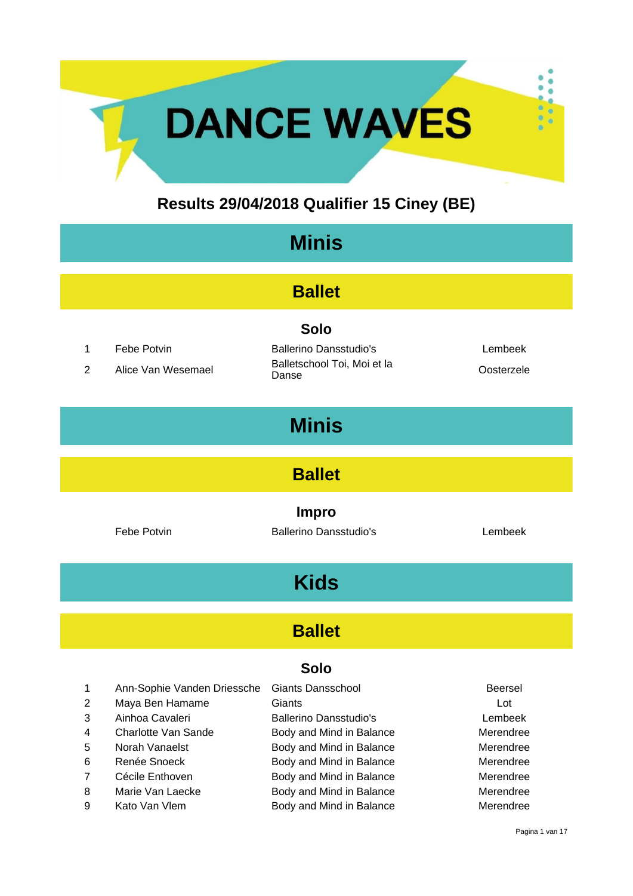## **Results 29/04/2018 Qualifier 15 Ciney (BE)**

**DANCE WAVES** 

| <b>Minis</b>                   |                                   |                                                                                      |                       |  |
|--------------------------------|-----------------------------------|--------------------------------------------------------------------------------------|-----------------------|--|
| <b>Ballet</b>                  |                                   |                                                                                      |                       |  |
| $\mathbf{1}$<br>$\overline{2}$ | Febe Potvin<br>Alice Van Wesemael | <b>Solo</b><br><b>Ballerino Dansstudio's</b><br>Balletschool Toi, Moi et la<br>Danse | Lembeek<br>Oosterzele |  |
| <b>Minis</b>                   |                                   |                                                                                      |                       |  |
| <b>Ballet</b>                  |                                   |                                                                                      |                       |  |
|                                | Febe Potvin                       | <b>Impro</b><br><b>Ballerino Dansstudio's</b>                                        | Lembeek               |  |
| <b>Kids</b>                    |                                   |                                                                                      |                       |  |
| <b>Ballet</b>                  |                                   |                                                                                      |                       |  |

| $\mathbf 1$    | Ann-Sophie Vanden Driessche | <b>Giants Dansschool</b>      | <b>Beersel</b> |
|----------------|-----------------------------|-------------------------------|----------------|
| 2              | Maya Ben Hamame             | Giants                        | Lot            |
| 3              | Ainhoa Cavaleri             | <b>Ballerino Dansstudio's</b> | Lembeek        |
| $\overline{4}$ | Charlotte Van Sande         | Body and Mind in Balance      | Merendree      |
| -5             | Norah Vanaelst              | Body and Mind in Balance      | Merendree      |
| 6              | Renée Snoeck                | Body and Mind in Balance      | Merendree      |
| 7              | Cécile Enthoven             | Body and Mind in Balance      | Merendree      |
| 8              | Marie Van Laecke            | Body and Mind in Balance      | Merendree      |
| 9              | Kato Van Vlem               | Body and Mind in Balance      | Merendree      |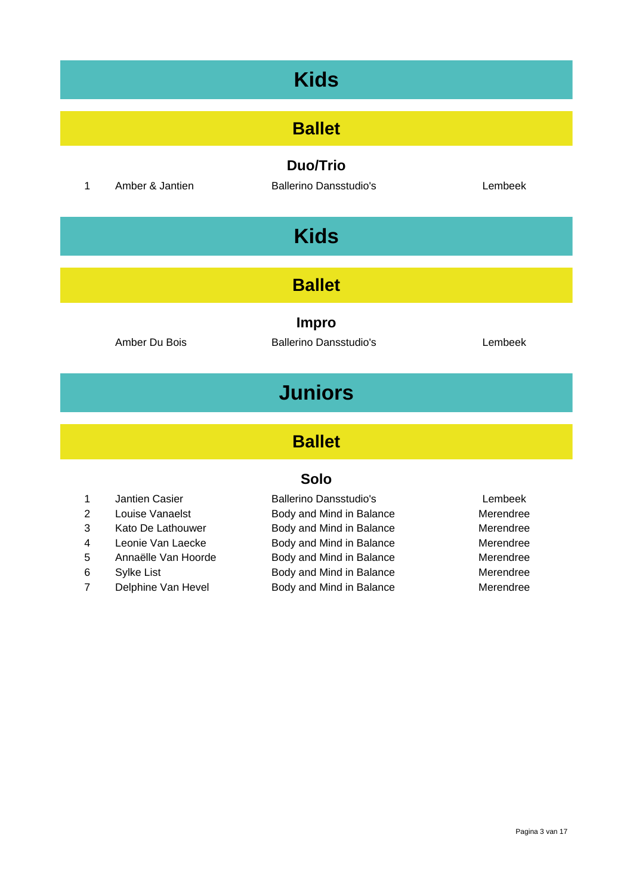| <b>Kids</b>                     |                                                  |         |  |
|---------------------------------|--------------------------------------------------|---------|--|
|                                 | <b>Ballet</b>                                    |         |  |
| Amber & Jantien<br>$\mathbf{1}$ | <b>Duo/Trio</b><br><b>Ballerino Dansstudio's</b> | Lembeek |  |
|                                 | <b>Kids</b>                                      |         |  |
|                                 | <b>Ballet</b>                                    |         |  |
| Amber Du Bois                   | <b>Impro</b><br><b>Ballerino Dansstudio's</b>    | Lembeek |  |
|                                 | <b>Juniors</b>                                   |         |  |
|                                 | <b>Ballet</b>                                    |         |  |
|                                 | <b>Solo</b>                                      |         |  |

- 
- 
- 
- 
- 
- 
- 

1 Jantien Casier Ballerino Dansstudio's Lembeek 2 Louise Vanaelst **Body and Mind in Balance** Merendree 3 Kato De Lathouwer Body and Mind in Balance Merendree 4 Leonie Van Laecke Body and Mind in Balance Merendree 5 Annaëlle Van Hoorde Body and Mind in Balance Merendree 6 Sylke List **Body and Mind in Balance** Merendree 7 Delphine Van Hevel Body and Mind in Balance Merendree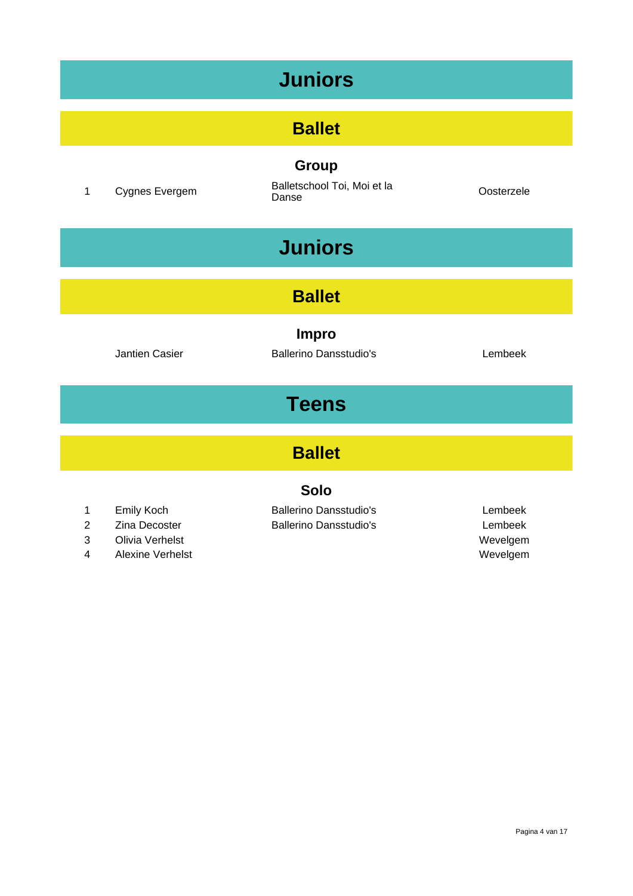# **Juniors**

## **Ballet**

**Group**

<sup>1</sup> Cygnes Evergem Balletschool Toi, Moi et la Danse Oosterzele

# **Juniors**

### **Ballet**

**Impro**

Jantien Casier **Ballerino Dansstudio's** Lembeek

# **Teens**

### **Ballet**

#### **Solo**

- 
- 
- 3 Olivia Verhelst Wevelgem
- 4 Alexine Verhelst **Wevelgem** Wevelgem

1 Emily Koch Ballerino Dansstudio's Lembeek 2 Zina Decoster Ballerino Dansstudio's Lembeek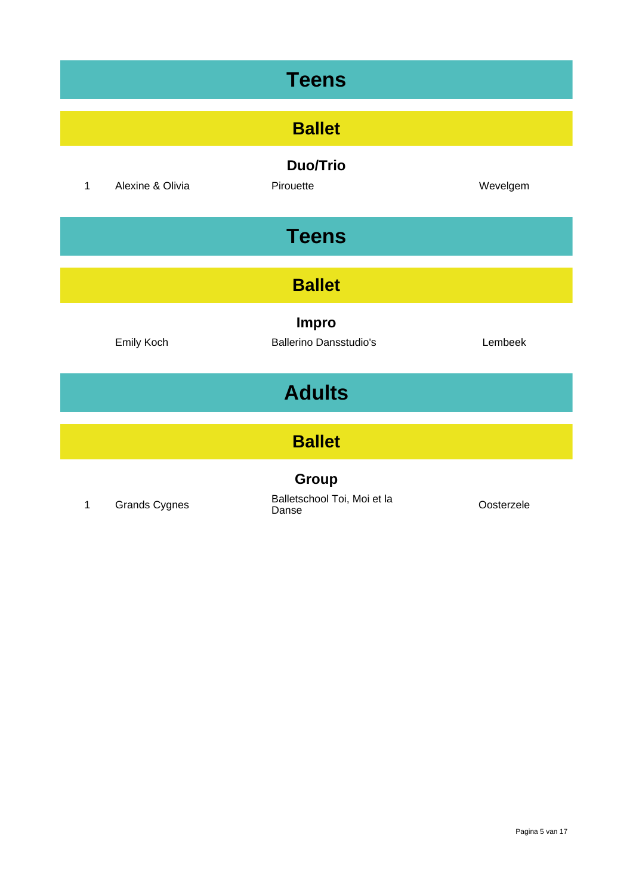| <b>Teens</b>  |                      |                                               |            |  |
|---------------|----------------------|-----------------------------------------------|------------|--|
| <b>Ballet</b> |                      |                                               |            |  |
| $\mathbf{1}$  | Alexine & Olivia     | <b>Duo/Trio</b><br>Pirouette                  | Wevelgem   |  |
|               |                      | <b>Teens</b>                                  |            |  |
| <b>Ballet</b> |                      |                                               |            |  |
|               | Emily Koch           | <b>Impro</b><br><b>Ballerino Dansstudio's</b> | Lembeek    |  |
| <b>Adults</b> |                      |                                               |            |  |
| <b>Ballet</b> |                      |                                               |            |  |
| $\mathbf{1}$  | <b>Grands Cygnes</b> | Group<br>Balletschool Toi, Moi et la<br>Danse | Oosterzele |  |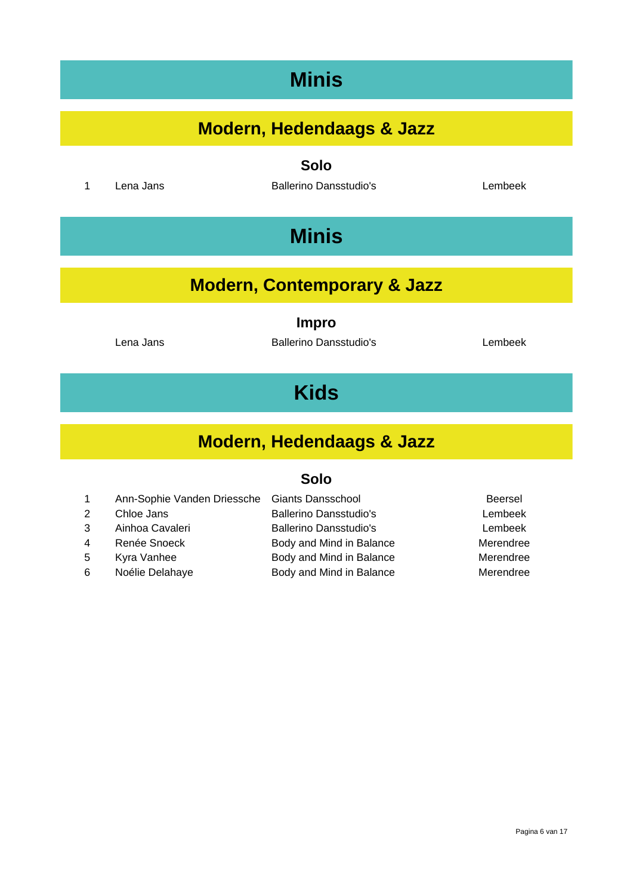# **Minis**

## **Modern, Hedendaags & Jazz**

**Solo**

1 Lena Jans **Ballerino Dansstudio's** Lembeek

# **Minis**

## **Modern, Contemporary & Jazz**

**Impro**

Lena Jans **Ballerino Dansstudio's** Lembeek

# **Kids**

## **Modern, Hedendaags & Jazz**

| $\mathbf{1}$   | Ann-Sophie Vanden Driessche Giants Dansschool |                               | Beersel   |
|----------------|-----------------------------------------------|-------------------------------|-----------|
| 2              | Chloe Jans                                    | <b>Ballerino Dansstudio's</b> | Lembeek   |
| 3              | Ainhoa Cavaleri                               | <b>Ballerino Dansstudio's</b> | Lembeek   |
| $\overline{4}$ | Renée Snoeck                                  | Body and Mind in Balance      | Merendree |
| .5             | Kyra Vanhee                                   | Body and Mind in Balance      | Merendree |
| 6              | Noélie Delahaye                               | Body and Mind in Balance      | Merendree |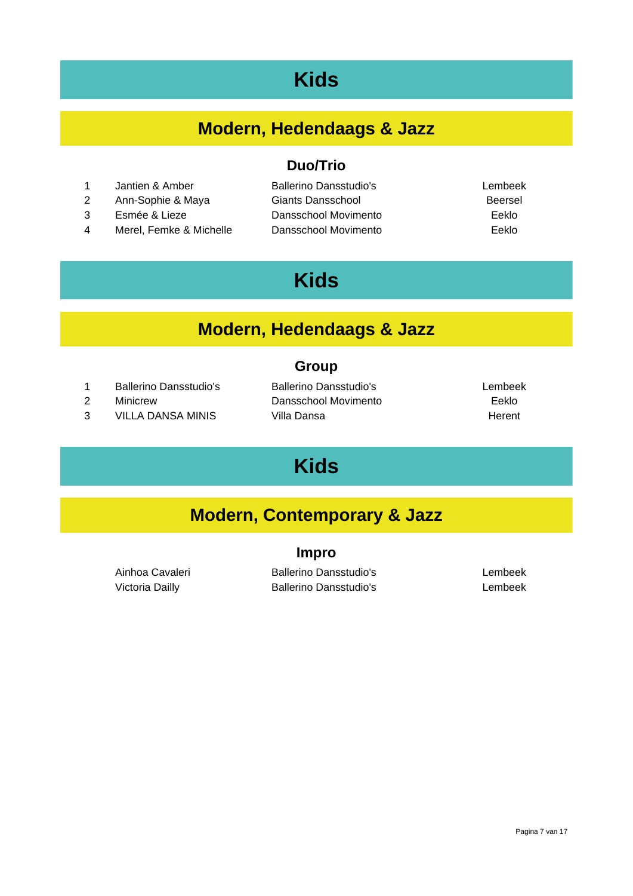# **Kids**

## **Modern, Hedendaags & Jazz**

- 1 Jantien & Amber Ballerino Dansstudio's Lembeek
- 2 Ann-Sophie & Maya Giants Dansschool Beersel
- 
- 4 Merel, Femke & Michelle Dansschool Movimento Eeklo

**Duo/Trio**

- 3 Esmée & Lieze Dansschool Movimento Eeklo
- 

# **Kids**

### **Modern, Hedendaags & Jazz**

#### **Group**

- 1 Ballerino Dansstudio's Ballerino Dansstudio's Lembeek
- 
- 3 VILLA DANSA MINIS Villa Dansa Number of the Herent

2 Minicrew Dansschool Movimento Eeklo

# **Kids**

## **Modern, Contemporary & Jazz**

#### **Impro**

Ainhoa Cavaleri **Ballerino Dansstudio's** Lembeek Victoria Dailly **Ballerino Dansstudio's** Lembeek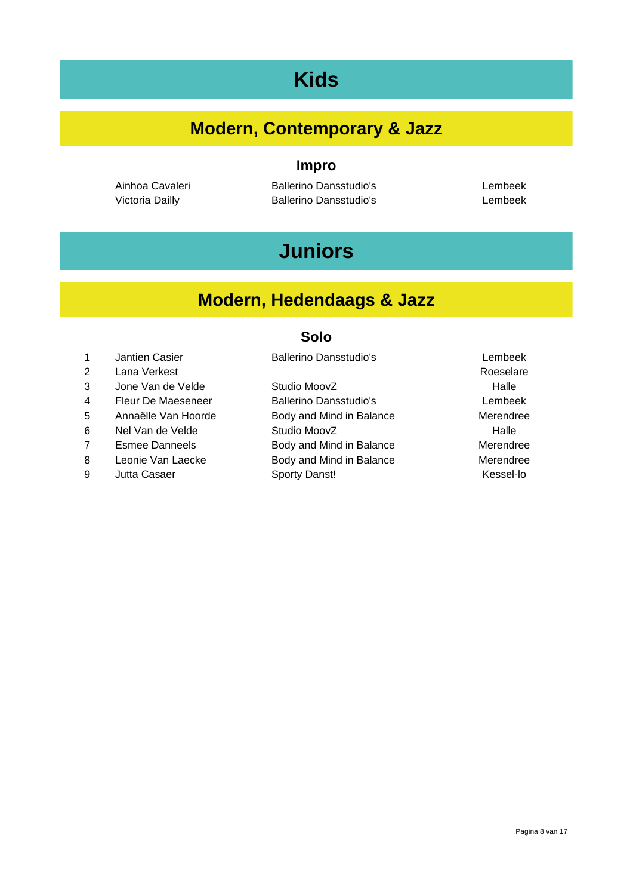# **Kids**

## **Modern, Contemporary & Jazz**

**Impro**

Victoria Dailly **Ballerino Dansstudio's** Lembeek

Ainhoa Cavaleri **Ballerino Dansstudio's** Lembeek

# **Juniors**

## **Modern, Hedendaags & Jazz**

|   | <b>Jantien Casier</b> | <b>Ballerino Dansstudio's</b> | Lembeek   |
|---|-----------------------|-------------------------------|-----------|
| 2 | Lana Verkest          |                               | Roeselare |
| 3 | Jone Van de Velde     | Studio MoovZ                  | Halle     |
| 4 | Fleur De Maeseneer    | <b>Ballerino Dansstudio's</b> | Lembeek   |
| 5 | Annaëlle Van Hoorde   | Body and Mind in Balance      | Merendree |
| 6 | Nel Van de Velde      | Studio MoovZ                  | Halle     |
| 7 | <b>Esmee Danneels</b> | Body and Mind in Balance      | Merendree |
| 8 | Leonie Van Laecke     | Body and Mind in Balance      | Merendree |
| 9 | Jutta Casaer          | Sporty Danst!                 | Kessel-lo |
|   |                       |                               |           |
|   |                       |                               |           |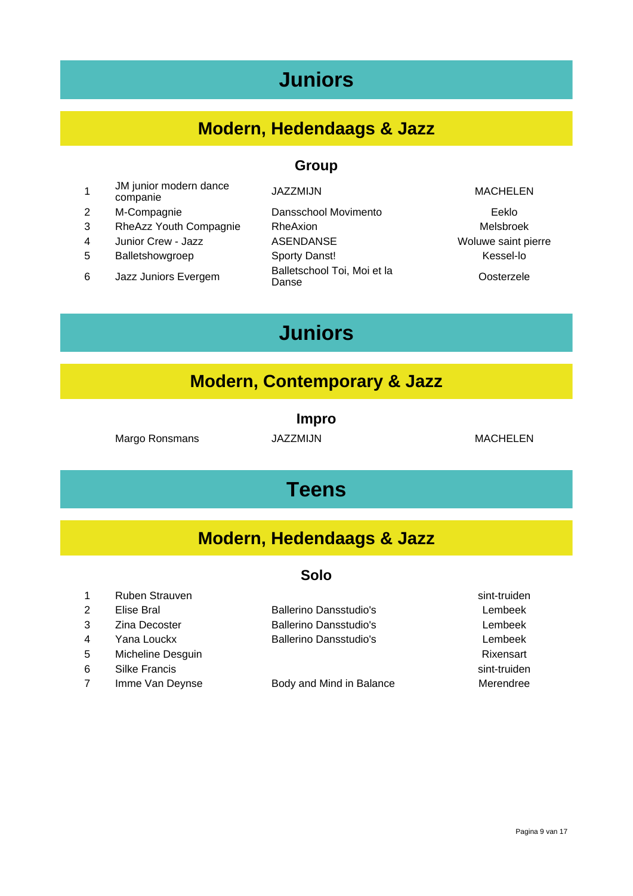# **Juniors**

## **Modern, Hedendaags & Jazz**

#### **Group**

- 1 JM junior modern dance ompanie MACHELEN<br>companie MACHELEN
- 2 M-Compagnie Dansschool Movimento Eeklo
- 3 RheAzz Youth Compagnie RheAxion Melsbroek
- 
- 
- 6 Jazz Juniors Evergem Ballets
- 
- 4 Junior Crew Jazz ASENDANSE Woluwe saint pierre 5 Balletshowgroep Sporty Danst! Kessel-lo Balletschool Toi, Moi et la **Contracteur** Oosterzele

# **Juniors**

#### **Modern, Contemporary & Jazz**

#### **Impro**

Margo Ronsmans JAZZMIJN MACHELEN

## **Teens**

### **Modern, Hedendaags & Jazz**

#### **Solo**

1 Ruben Strauven sint-truiden sint-truiden sint-truiden sint-truiden sint-truiden sint-truiden sint-truiden si

- 
- 
- 
- 5 Micheline Desguin **Richeline Desguin** Rixensart **Richeline Desguin**
- 6 Silke Francis sint-truiden
- 7 Imme Van Deynse Body and Mind in Balance Merendree

2 Elise Bral Ballerino Dansstudio's Lembeek 3 Zina Decoster Ballerino Dansstudio's Lembeek 4 Yana Louckx Ballerino Dansstudio's Lembeek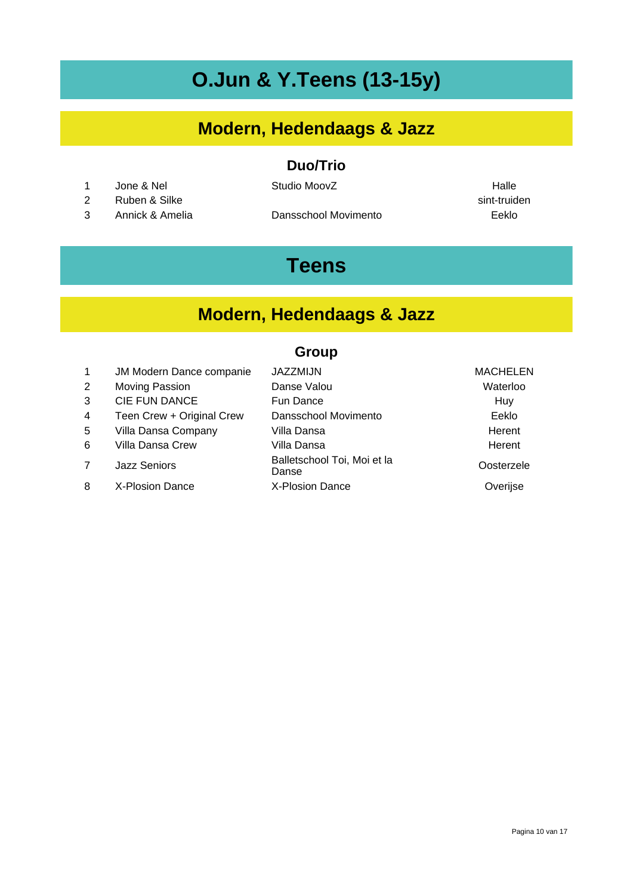# **O.Jun & Y.Teens (13-15y)**

## **Modern, Hedendaags & Jazz**

#### **Duo/Trio**

1 Jone & Nel Studio MoovZ Halle

2 Ruben & Silke sint-truiden was a sint-truiden was a sint-truiden was sint-truiden

3 Annick & Amelia Dansschool Movimento Eeklo

# **Teens**

## **Modern, Hedendaags & Jazz**

#### **Group**

| $\mathbf{1}$   | JM Modern Dance companie  | <b>JAZZMIJN</b>                      | <b>MACHELEN</b> |
|----------------|---------------------------|--------------------------------------|-----------------|
| $\overline{2}$ | Moving Passion            | Danse Valou                          | Waterloo        |
| 3              | CIE FUN DANCE             | <b>Fun Dance</b>                     | Huy             |
| 4              | Teen Crew + Original Crew | Dansschool Movimento                 | Eeklo           |
| 5              | Villa Dansa Company       | Villa Dansa                          | Herent          |
| 6              | Villa Dansa Crew          | Villa Dansa                          | Herent          |
| 7              | <b>Jazz Seniors</b>       | Balletschool Toi, Moi et la<br>Danse | Oosterzele      |
| 8              | X-Plosion Dance           | X-Plosion Dance                      | Overijse        |
|                |                           |                                      |                 |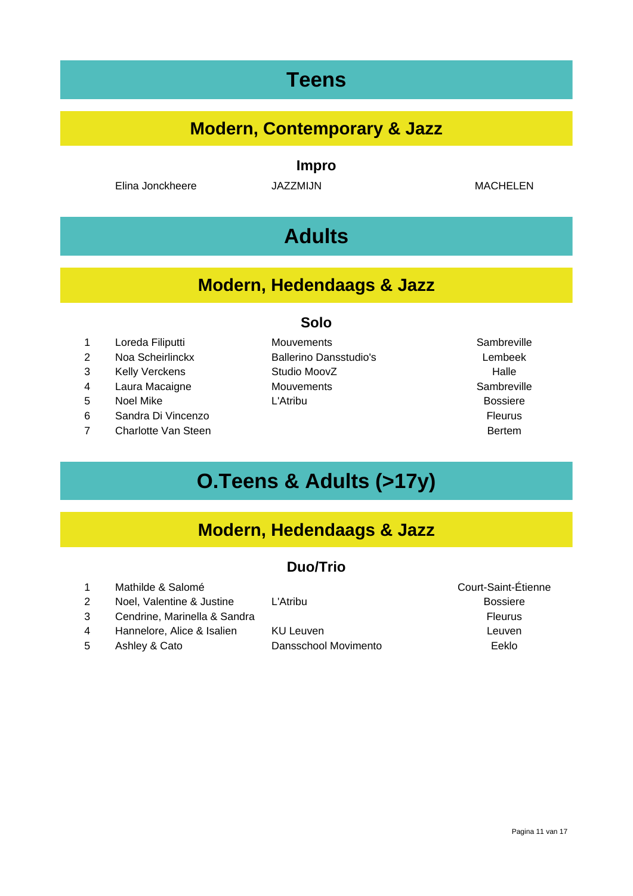# **Teens**

## **Modern, Contemporary & Jazz**

#### **Impro**

Elina Jonckheere JAZZMIJN MACHELEN

# **Adults**

### **Modern, Hedendaags & Jazz**

**Solo**

- 2 Noa Scheirlinckx Ballerino Dansstudio's Lembeek
- 
- 
- 
- 6 Sandra Di Vincenzo Fleurus
- 7 Charlotte Van Steen Bertem Bertem Bertem Bertem Bertem Bertem Bertem Bertem Bertem Bertem Bertem Bertem Bertem Bertem Bertem Bertem Bertem Bertem Bertem Bertem Bertem Bertem Bertem Bertem Bertem Bertem Bertem Bertem Bert
- 1 Loreda Filiputti **Mouvements** Mouvements Sambreville 3 Kelly Verckens Studio MoovZ Falle 4 Laura Macaigne Mouvements **Moutements** Sambreville 5 Noel Mike L'Atribu Bossiere
- 

# **O.Teens & Adults (>17y)**

## **Modern, Hedendaags & Jazz**

#### **Duo/Trio**

- 1 Mathilde & Salomé **Court-Saint-Étienne**
- 2 Noel, Valentine & Justine L'Atribu Bossiere
- 3 Cendrine, Marinella & Sandra Fleurus et al. 2010 and Fleurus Eleurus Eleurus
- 4 Hannelore, Alice & Isalien KU Leuven **Rannelore**, Alice & Isalien KU Leuven
- 

# 5 Ashley & Cato Dansschool Movimento Eeklo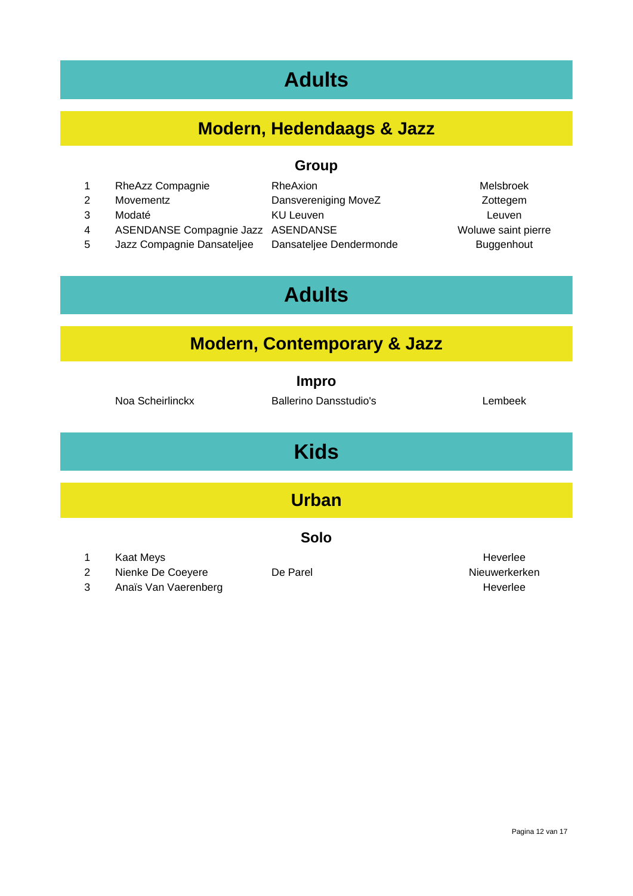# **Adults**

## **Modern, Hedendaags & Jazz**

#### **Group**

1 RheAzz Compagnie RheAxion RheAxion Melsbroek 2 Movementz **Dansvereniging MoveZ** 2 Zottegem 3 Modaté KU Leuven Leuven 4 ASENDANSE Compagnie Jazz ASENDANSE WOLL Woluwe saint pierre 5 Jazz Compagnie Dansateljee Dansateljee Dendermonde Buggenhout

# **Adults**

### **Modern, Contemporary & Jazz**

|                     | Noa Scheirlinckx               | <b>Impro</b><br><b>Ballerino Dansstudio's</b> | Lembeek                   |
|---------------------|--------------------------------|-----------------------------------------------|---------------------------|
|                     |                                | <b>Kids</b>                                   |                           |
|                     |                                | <b>Urban</b>                                  |                           |
|                     |                                | <b>Solo</b>                                   |                           |
| 1<br>$\overline{2}$ | Kaat Meys<br>Nienke De Coeyere | De Parel                                      | Heverlee<br>Nieuwerkerken |

3 Anaïs Van Vaerenberg Heverlee Heverlee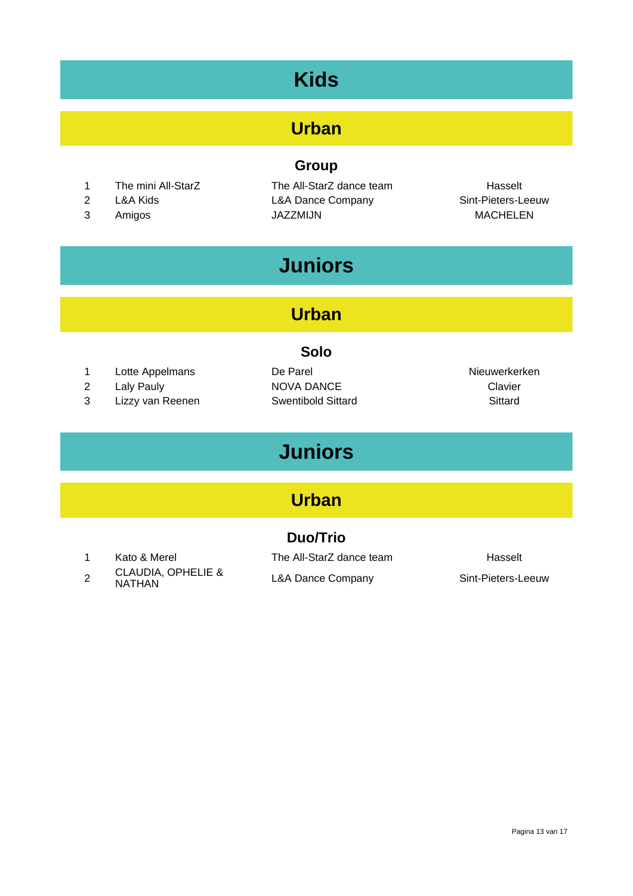# **Kids**

## **Urban**

#### **Group**

- 1 The mini All-StarZ The All-StarZ dance team Hasselt
- 
- 

2 L&A Kids L&A Dance Company Sint-Pieters-Leeuw 3 Amigos JAZZMIJN SARAGHELEN

# **Juniors**

## **Urban**

#### **Solo**

- 1 Lotte Appelmans De Parel Nieuwerkerken
- 
- 3 Lizzy van Reenen Swentibold Sittard Sittard
- 2 Laly Pauly **NOVA DANCE** 2 Laly Pauly **Clavier**

# **Juniors**

### **Urban**

#### **Duo/Trio**

- 
- 2 CLAUDIA, OPHELIE &
- 

1 Kato & Merel The All-StarZ dance team Hasselt L&A Dance Company Sint-Pieters-Leeuw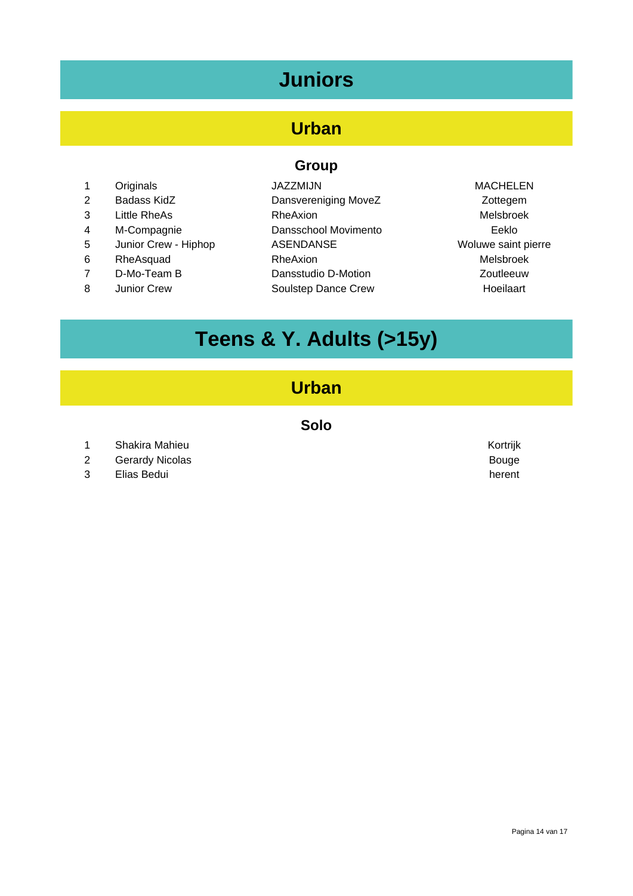# **Juniors**

## **Urban**

#### **Group**

- 1 Originals **1** JAZZMIJN **MACHELEN**
- 
- 
- 5 Junior Crew Hiphop ASENDANSE ASENDANSE Woluwe saint pierre
- 
- 
- 
- 2 Badass KidZ **Dansvereniging MoveZ** 2 Zottegem 3 Little RheAs RheAxion Melsbroek 4 M-Compagnie Dansschool Movimento Eeklo 6 RheAsquad RheAxion RheAxion RheAxion Melsbroek 7 D-Mo-Team B Dansstudio D-Motion Zoutleeuw 8 Junior Crew Soulstep Dance Crew Hoeilaart
- 

# **Teens & Y. Adults (>15y)**

#### **Urban**

- 1 Shakira Mahieu Kortrijk
- 2 Gerardy Nicolas **Bouge**
- 3 Elias Bedui herent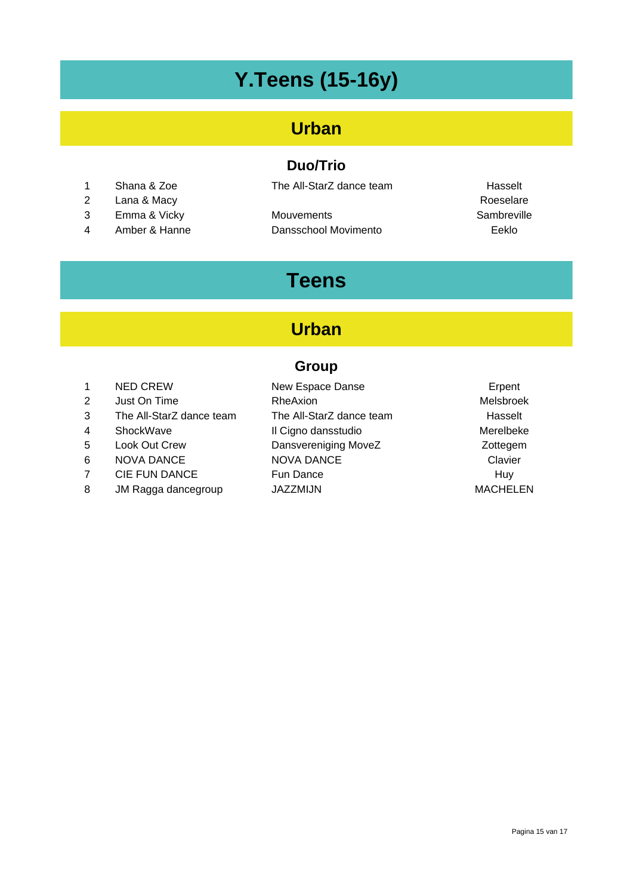# **Y.Teens (15-16y)**

## **Urban**

#### **Duo/Trio**

- 
- 2 Lana & Macy **Roeselare** Roeselare
- 
- 

1 Shana & Zoe The All-StarZ dance team Hasselt

3 Emma & Vicky Mouvements Sambreville 4 Amber & Hanne Dansschool Movimento Eeklo

# **Teens**

## **Urban**

#### **Group**

| 1 | <b>NED CREW</b>          | New Espace Danse         | Erpent           |
|---|--------------------------|--------------------------|------------------|
| 2 | Just On Time             | <b>RheAxion</b>          | <b>Melsbroek</b> |
| 3 | The All-StarZ dance team | The All-StarZ dance team | Hasselt          |
| 4 | ShockWave                | Il Cigno dansstudio      | Merelbeke        |
| 5 | Look Out Crew            | Dansvereniging MoveZ     | Zottegem         |
| 6 | <b>NOVA DANCE</b>        | <b>NOVA DANCE</b>        | Clavier          |
| 7 | CIE FUN DANCE            | <b>Fun Dance</b>         | Huy              |
| 8 | JM Ragga dancegroup      | <b>JAZZMIJN</b>          | <b>MACHELEN</b>  |
|   |                          |                          |                  |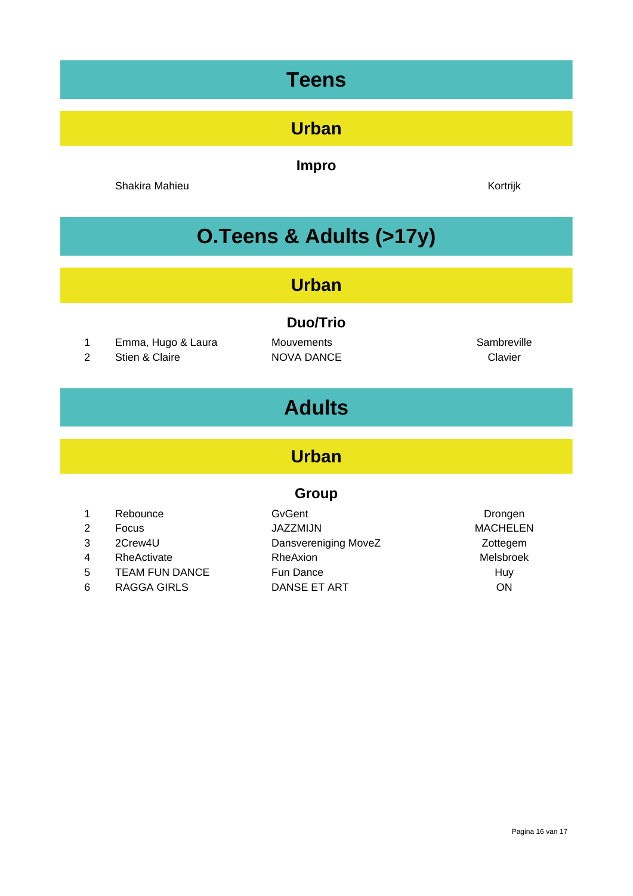# **Teens Urban Impro** Shakira Mahieu **Kortrijk O.Teens & Adults (>17y) Urban Duo/Trio** 1 Emma, Hugo & Laura Mouvements **Mouteurs** Sambreville 2 Stien & Claire **NOVA DANCE** Clavier **Adults**

## **Urban**

#### **Group**

|    | Rebounce              | GyGent               | Drongen         |
|----|-----------------------|----------------------|-----------------|
| 2  | <b>Focus</b>          | JAZZMIJN             | <b>MACHELEN</b> |
| 3  | 2Crew4U               | Dansvereniging MoveZ | Zottegem        |
| 4  | RheActivate           | RheAxion             | Melsbroek       |
| 5. | <b>TEAM FUN DANCE</b> | Fun Dance            | Huy             |
| 6  | <b>RAGGA GIRLS</b>    | DANSE ET ART         | <b>ON</b>       |
|    |                       |                      |                 |